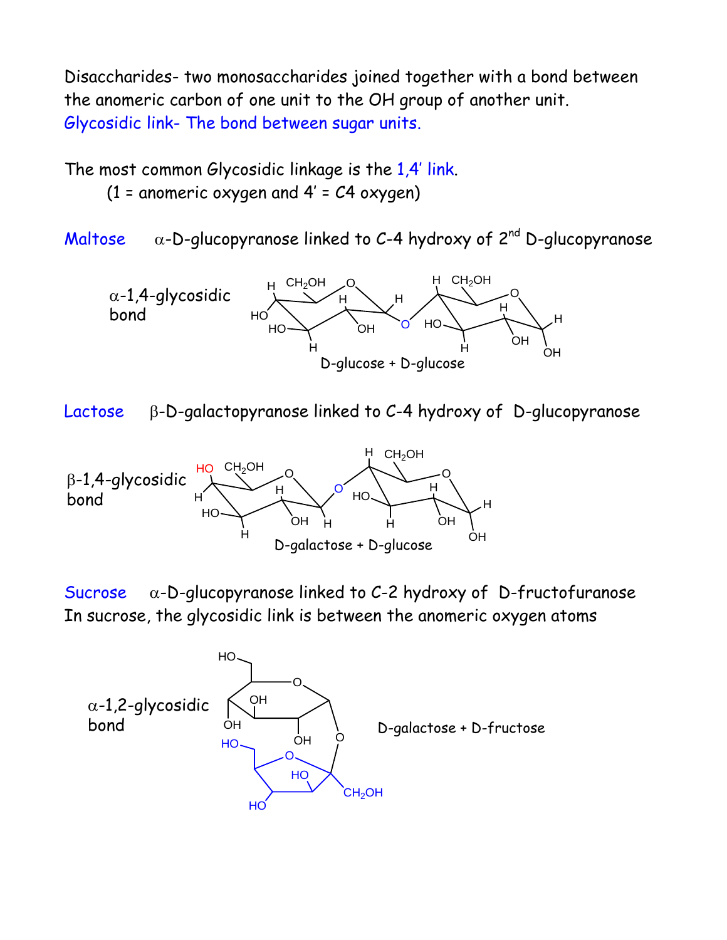Disaccharides- two monosaccharides joined together with a bond between the anomeric carbon of one unit to the OH group of another unit. Glycosidic link- The bond between sugar units.

The most common Glycosidic linkage is the 1,4' link.

(1 = anomeric oxygen and  $4'$  =  $C4$  oxygen)

Maltose  $\alpha$ -D-glucopyranose linked to C-4 hydroxy of 2<sup>nd</sup> D-glucopyranose



Lactose β-D-galactopyranose linked to C-4 hydroxy of D-glucopyranose



Sucrose  $\alpha$ -D-glucopyranose linked to C-2 hydroxy of D-fructofuranose In sucrose, the glycosidic link is between the anomeric oxygen atoms